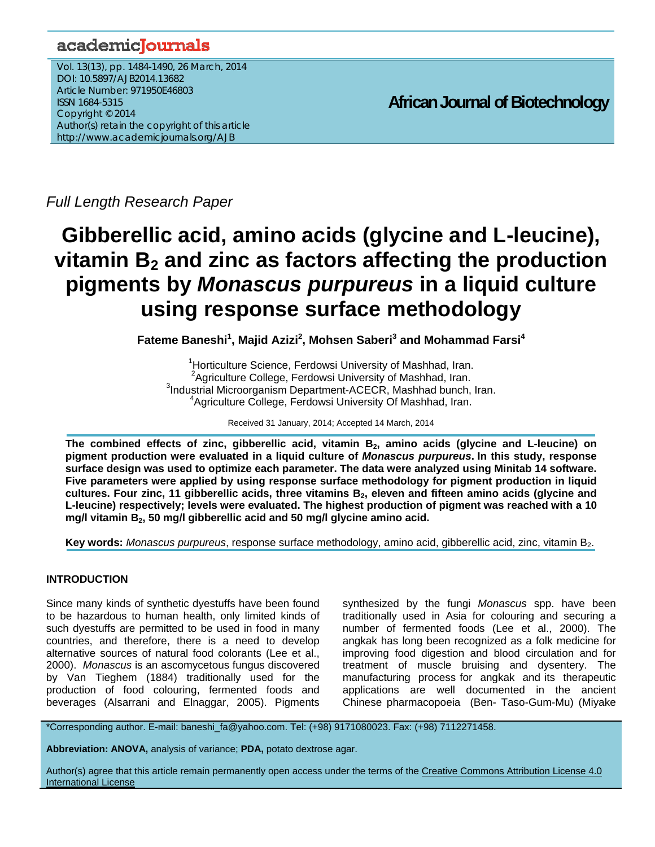# academicJournals

Vol. 13(13), pp. 1484-1490, 26 March, 2014 DOI: 10.5897/AJB2014.13682 Article Number: 971950E46803 ISSN 1684-5315 Copyright © 2014 Author(s) retain the copyright of this article http://www.academicjournals.org/AJB

**African Journal of Biotechnology**

*Full Length Research Paper*

# **Gibberellic acid, amino acids (glycine and L-leucine),**  vitamin B<sub>2</sub> and zinc as factors affecting the production **pigments by** *Monascus purpureus* **in a liquid culture using response surface methodology**

Fateme Baneshi<sup>1</sup>, Majid Azizi<sup>2</sup>, Mohsen Saberi<sup>3</sup> and Mohammad Farsi<sup>4</sup>

<sup>1</sup> Horticulture Science, Ferdowsi University of Mashhad, Iran.<br><sup>2</sup> Agriculture Collage, Ferdowei University of Mashhad, Iran.  $A$ griculture College, Ferdowsi University of Mashhad, Iran. <sup>3</sup>Industrial Microorganism Department-ACECR, Mashhad bunch, Iran. 4 Agriculture College, Ferdowsi University Of Mashhad, Iran.

Received 31 January, 2014; Accepted 14 March, 2014

The combined effects of zinc, gibberellic acid, vitamin B<sub>2</sub>, amino acids (glycine and L-leucine) on **pigment production were evaluated in a liquid culture of** *Monascus purpureus***. In this study, response surface design was used to optimize each parameter. The data were analyzed using Minitab 14 software. Five parameters were applied by using response surface methodology for pigment production in liquid**  cultures. Four zinc, 11 gibberellic acids, three vitamins B<sub>2</sub>, eleven and fifteen amino acids (glycine and **L-leucine) respectively; levels were evaluated. The highest production of pigment was reached with a 10**  mg/l vitamin B<sub>2</sub>, 50 mg/l gibberellic acid and 50 mg/l glycine amino acid.

**Key words:** *Monascus purpureus*, response surface methodology, amino acid, gibberellic acid, zinc, vitamin B<sub>2</sub>.

# **INTRODUCTION**

Since many kinds of synthetic dyestuffs have been found to be hazardous to human health, only limited kinds of such dyestuffs are permitted to be used in food in many countries, and therefore, there is a need to develop alternative sources of natural food colorants (Lee et al., 2000). *Monascus* is an ascomycetous fungus discovered by Van Tieghem (1884) traditionally used for the production of food colouring, fermented foods and beverages (Alsarrani and Elnaggar, 2005). Pigments

synthesized by the fungi *Monascus* spp. have been traditionally used in Asia for colouring and securing a number of fermented foods (Lee et al., 2000). The angkak has long been recognized as a folk medicine for improving food digestion and blood circulation and for treatment of muscle bruising and dysentery. The manufacturing process for angkak and its therapeutic applications are well documented in the ancient Chinese pharmacopoeia (Ben- Taso-Gum-Mu) (Miyake

\*Corresponding author. E-mail: baneshi\_fa@yahoo.com. Tel: (+98) 9171080023. Fax: (+98) 7112271458.

**Abbreviation: ANOVA,** analysis of variance; **PDA,** potato dextrose agar.

Author(s) agree that this article remain permanently open access under the terms of the Creative Commons Attribution License 4.0 International License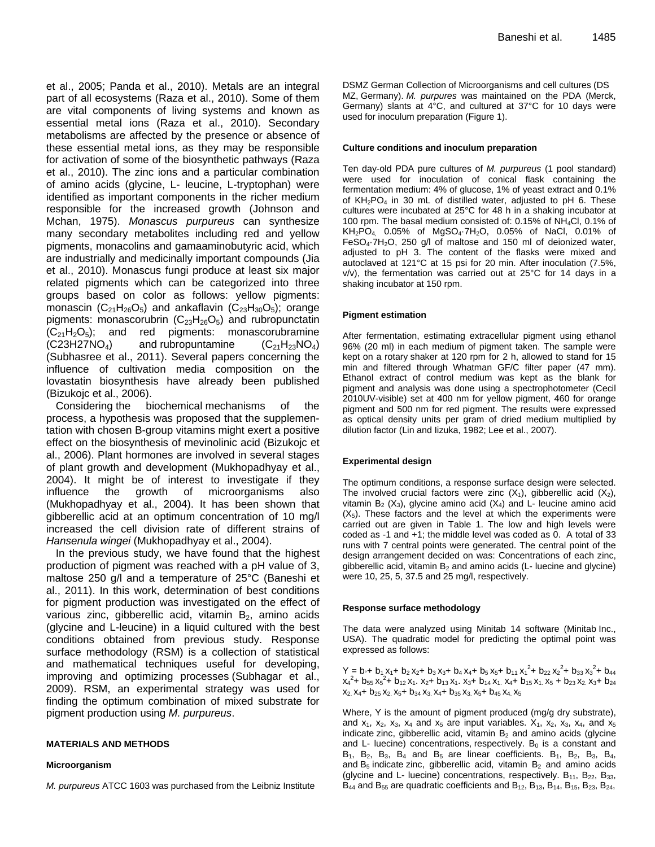et al., 2005; Panda et al., 2010). Metals are an integral part of all ecosystems (Raza et al., 2010). Some of them are vital components of living systems and known as essential metal ions (Raza et al., 2010). Secondary metabolisms are affected by the presence or absence of these essential metal ions, as they may be responsible for activation of some of the biosynthetic pathways (Raza et al., 2010). The zinc ions and a particular combination of amino acids (glycine, L- leucine, L-tryptophan) were identified as important components in the richer medium responsible for the increased growth (Johnson and Mchan, 1975). *Monascus purpureus* can synthesize many secondary metabolites including red and yellow pigments, monacolins and gamaaminobutyric acid, which are industrially and medicinally important compounds (Jia et al., 2010). Monascus fungi produce at least six major related pigments which can be categorized into three groups based on color as follows: yellow pigments: monascin  $(C_{21}H_{26}O_5)$  and ankaflavin  $(C_{23}H_{30}O_5)$ ; orange pigments: monascorubrin  $(C_{23}H_{26}O_5)$  and rubropunctatin  $(C_{21}H_2O_5)$ ; and red pigments: monascorubramine  $(C23H27NO<sub>4</sub>)$  and rubropuntamine  $(C_{21}H_{23}NO<sub>4</sub>)$ (Subhasree et al., 2011). Several papers concerning the influence of cultivation media composition on the lovastatin biosynthesis have already been published (Bizukojc et al., 2006).

Considering the biochemical mechanisms of the process, a hypothesis was proposed that the supplementation with chosen B-group vitamins might exert a positive effect on the biosynthesis of mevinolinic acid (Bizukojc et al., 2006). Plant hormones are involved in several stages of plant growth and development (Mukhopadhyay et al., 2004). It might be of interest to investigate if they influence the growth of microorganisms also (Mukhopadhyay et al., 2004). It has been shown that gibberellic acid at an optimum concentration of 10 mg/l increased the cell division rate of different strains of *Hansenula wingei* (Mukhopadhyay et al., 2004).

In the previous study, we have found that the highest production of pigment was reached with a pH value of 3, maltose 250 g/l and a temperature of 25°C (Baneshi et al., 2011). In this work, determination of best conditions for pigment production was investigated on the effect of various zinc, gibberellic acid, vitamin  $B<sub>2</sub>$ , amino acids (glycine and L-leucine) in a liquid cultured with the best conditions obtained from previous study. Response surface methodology (RSM) is a collection of statistical and mathematical techniques useful for developing, improving and optimizing processes (Subhagar et al., 2009). RSM, an experimental strategy was used for finding the optimum combination of mixed substrate for pigment production using *M. purpureus*.

## **MATERIALS AND METHODS**

#### **Microorganism**

*M. purpureus* ATCC 1603 was purchased from the Leibniz Institute

DSMZ German Collection of Microorganisms and cell cultures (DS MZ, Germany). *M. purpures* was maintained on the PDA (Merck, Germany) slants at 4°C, and cultured at 37°C for 10 days were used for inoculum preparation (Figure 1).

#### **Culture conditions and inoculum preparation**

Ten day-old PDA pure cultures of *M. purpureus* (1 pool standard) were used for inoculation of conical flask containing the fermentation medium: 4% of glucose, 1% of yeast extract and 0.1% of  $KH<sub>2</sub>PO<sub>4</sub>$  in 30 mL of distilled water, adjusted to pH 6. These cultures were incubated at 25°C for 48 h in a shaking incubator at 100 rpm. The basal medium consisted of: 0.15% of NH4Cl, 0.1% of  $KH_2PO_4$  0.05% of MgSO<sub>4</sub> $-7H_2O$ , 0.05% of NaCl, 0.01% of FeSO<sub>4</sub>·7H<sub>2</sub>O, 250 g/l of maltose and 150 ml of deionized water, adjusted to pH 3. The content of the flasks were mixed and autoclaved at 121°C at 15 psi for 20 min. After inoculation (7.5%, v/v), the fermentation was carried out at 25°C for 14 days in a shaking incubator at 150 rpm.

#### **Pigment estimation**

After fermentation, estimating extracellular pigment using ethanol 96% (20 ml) in each medium of pigment taken. The sample were kept on a rotary shaker at 120 rpm for 2 h, allowed to stand for 15 min and filtered through Whatman GF/C filter paper (47 mm). Ethanol extract of control medium was kept as the blank for pigment and analysis was done using a spectrophotometer (Cecil 2010UV-visible) set at 400 nm for yellow pigment, 460 for orange pigment and 500 nm for red pigment. The results were expressed as optical density units per gram of dried medium multiplied by dilution factor (Lin and Iizuka, 1982; Lee et al., 2007).

#### **Experimental design**

The optimum conditions, a response surface design were selected. The involved crucial factors were zinc  $(X_1)$ , gibberellic acid  $(X_2)$ , vitamin  $B_2$  (X<sub>3</sub>), glycine amino acid (X<sub>4</sub>) and L- leucine amino acid  $(X<sub>5</sub>)$ . These factors and the level at which the experiments were carried out are given in Table 1. The low and high levels were coded as -1 and +1; the middle level was coded as 0. A total of 33 runs with 7 central points were generated. The central point of the design arrangement decided on was: Concentrations of each zinc, gibberellic acid, vitamin  $B_2$  and amino acids (L- luecine and glycine) were 10, 25, 5, 37.5 and 25 mg/l, respectively.

#### **Response surface methodology**

The data were analyzed using Minitab 14 software (Minitab Inc., USA). The quadratic model for predicting the optimal point was expressed as follows:

 $Y = b_1 + b_1 x_1 + b_2 x_2 + b_3 x_3 + b_4 x_4 + b_5 x_5 + b_{11} x_1^2 + b_{22} x_2^2 + b_{33} x_3^2 + b_{44}$  $x_4^2$ + b<sub>55</sub>  $x_5^2$ + b<sub>12</sub> x<sub>1</sub>. x<sub>2</sub>+ b<sub>13</sub> x<sub>1</sub>. x<sub>3</sub>+ b<sub>14</sub> x<sub>1</sub>. x<sub>4</sub>+ b<sub>15</sub> x<sub>1</sub>. x<sub>5</sub> + b<sub>23</sub> x<sub>2</sub>. x<sub>3</sub>+ b<sub>24</sub>  $x_2$ ,  $x_4$ +  $b_{25}$ ,  $x_2$ ,  $x_5$ +  $b_{34}$ ,  $x_3$ ,  $x_4$ +  $b_{35}$ ,  $x_3$ ,  $x_5$ +  $b_{45}$ ,  $x_4$ ,  $x_5$ 

Where, Y is the amount of pigment produced (mg/g dry substrate), and  $x_1$ ,  $x_2$ ,  $x_3$ ,  $x_4$  and  $x_5$  are input variables.  $X_1$ ,  $x_2$ ,  $x_3$ ,  $x_4$ , and  $x_5$ indicate zinc, gibberellic acid, vitamin  $B_2$  and amino acids (glycine and L- luecine) concentrations, respectively.  $B_0$  is a constant and  $B_1$ ,  $B_2$ ,  $B_3$ ,  $B_4$  and  $B_5$  are linear coefficients.  $B_1$ ,  $B_2$ ,  $B_3$ ,  $B_4$ , and  $B_5$  indicate zinc, gibberellic acid, vitamin  $B_2$  and amino acids (glycine and L- luecine) concentrations, respectively.  $B_{11}$ ,  $B_{22}$ ,  $B_{33}$ , B<sub>44</sub> and B<sub>55</sub> are quadratic coefficients and B<sub>12</sub>, B<sub>13</sub>, B<sub>14</sub>, B<sub>15</sub>, B<sub>23</sub>, B<sub>24</sub>,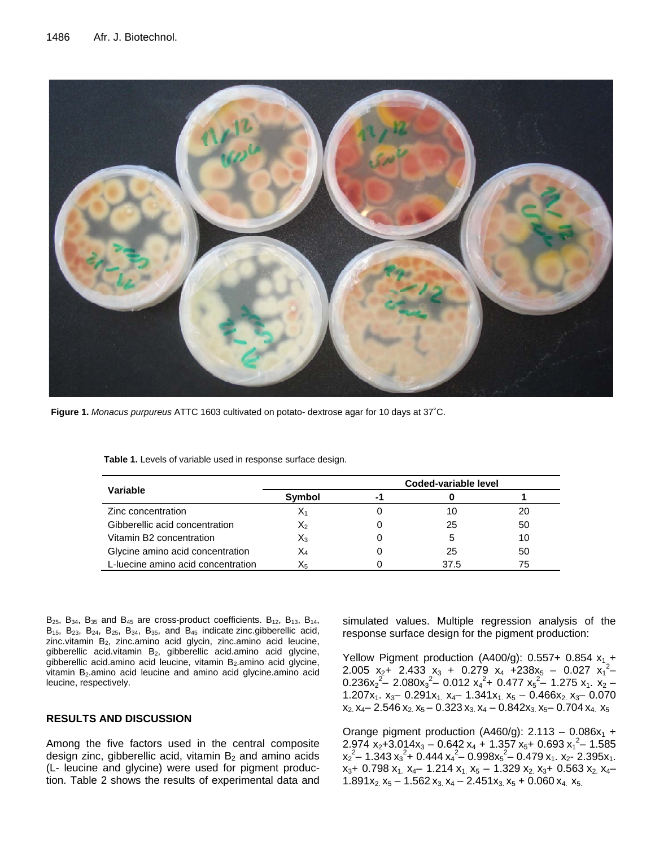

**Figure 1.** *Monacus purpureus* ATTC 1603 cultivated on potato- dextrose agar for 10 days at 37˚C.

|                                    | Coded-variable level |    |      |    |  |
|------------------------------------|----------------------|----|------|----|--|
| Variable                           | Symbol               | -1 |      |    |  |
| Zinc concentration                 | X1                   |    |      | 20 |  |
| Gibberellic acid concentration     | X2                   |    | 25   | 50 |  |
| Vitamin B2 concentration           | Xз                   |    |      | 10 |  |
| Glycine amino acid concentration   | X4                   |    | 25   | 50 |  |
| L-luecine amino acid concentration | X5                   |    | 37.5 | 75 |  |

**Table 1.** Levels of variable used in response surface design.

 $B_{25}$ ,  $B_{34}$ ,  $B_{35}$  and  $B_{45}$  are cross-product coefficients.  $B_{12}$ ,  $B_{13}$ ,  $B_{14}$ ,  $B_{15}$ ,  $B_{23}$ ,  $B_{24}$ ,  $B_{25}$ ,  $B_{34}$ ,  $B_{35}$ , and  $B_{45}$  indicate zinc.gibberellic acid, zinc.vitamin  $B_2$ , zinc.amino acid glycin, zinc.amino acid leucine, gibberellic acid.vitamin B<sub>2</sub>, gibberellic acid.amino acid glycine, gibberellic acid.amino acid leucine, vitamin B<sub>2</sub>.amino acid glycine, vitamin B<sub>2</sub>.amino acid leucine and amino acid glycine.amino acid leucine, respectively.

# **RESULTS AND DISCUSSION**

Among the five factors used in the central composite design zinc, gibberellic acid, vitamin  $B_2$  and amino acids (L- leucine and glycine) were used for pigment production. Table 2 shows the results of experimental data and simulated values. Multiple regression analysis of the response surface design for the pigment production:

Yellow Pigment production (A400/g):  $0.557+0.854 x_1 +$ 2.005  $x_2 + 2.433 x_3 + 0.279 x_4 + 238x_5 - 0.027 x_1^2$  $0.236x_2^2$  – 2.080 $x_3^2$  – 0.012  $x_4^2$  + 0.477  $x_5^2$  – 1.275  $x_1$ .  $x_2$  – 1.207x<sub>1</sub>. x<sub>3</sub> – 0.291x<sub>1</sub> x<sub>4</sub> – 1.341x<sub>1</sub> x<sub>5</sub> – 0.466x<sub>2</sub> x<sub>3</sub> – 0.070  $x_2$ ,  $x_4$  – 2.546  $x_2$ ,  $x_5$  – 0.323  $x_3$ ,  $x_4$  – 0.842 $x_3$ ,  $x_5$  – 0.704  $x_4$ ,  $x_5$ 

Orange pigment production (A460/g):  $2.113 - 0.086x_1 +$  $2.974$  x<sub>2</sub>+3.014x<sub>3</sub> – 0.642 x<sub>4</sub> + 1.357 x<sub>5</sub>+ 0.693 x<sub>1</sub><sup>2</sup> – 1.585  $x_2^2$  – 1.343  $x_3^2$  + 0.444  $x_4^2$  – 0.998 $x_5^2$  – 0.479  $x_1$ .  $x_2$  - 2.395 $x_1$ .  $x_3$ + 0.798  $x_1$ ,  $x_4$ – 1.214  $x_1$ ,  $x_5$  – 1.329  $x_2$ ,  $x_3$ + 0.563  $x_2$ ,  $x_4$ – 1.891x<sub>2</sub> x<sub>5</sub> – 1.562 x<sub>3</sub> x<sub>4</sub> – 2.451x<sub>3</sub> x<sub>5</sub> + 0.060 x<sub>4</sub> x<sub>5</sub>.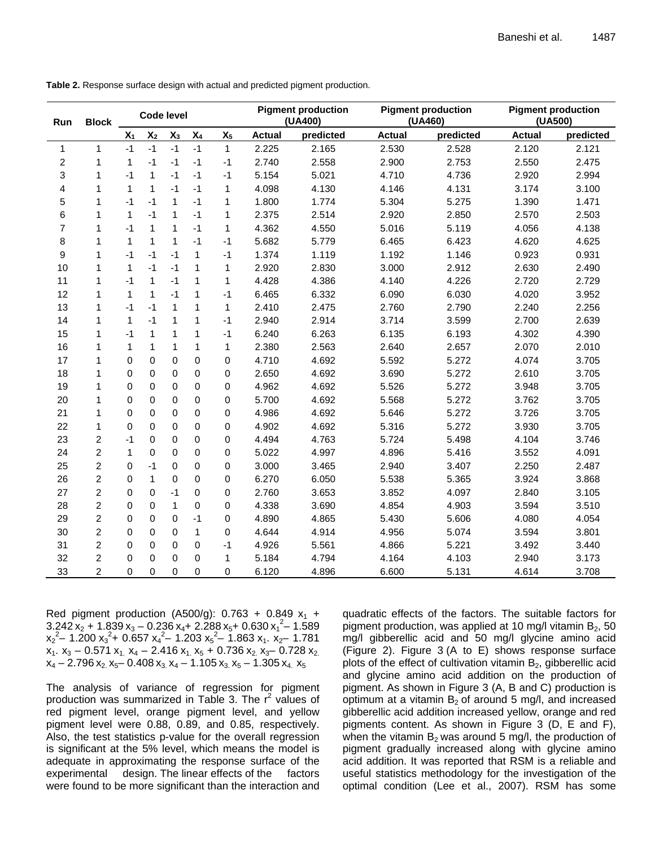| <b>Block</b><br>Run |                | <b>Code level</b> |              |              |                |              | <b>Pigment production</b><br>(UA400) |           | <b>Pigment production</b><br>(UA460) |           | <b>Pigment production</b><br>(UA500) |           |
|---------------------|----------------|-------------------|--------------|--------------|----------------|--------------|--------------------------------------|-----------|--------------------------------------|-----------|--------------------------------------|-----------|
|                     |                | $X_1$             | $X_2$        | $X_3$        | $\mathsf{X}_4$ | $X_5$        | <b>Actual</b>                        | predicted | Actual                               | predicted | <b>Actual</b>                        | predicted |
| 1                   | $\mathbf{1}$   | $-1$              | $-1$         | $-1$         | $-1$           | $\mathbf{1}$ | 2.225                                | 2.165     | 2.530                                | 2.528     | 2.120                                | 2.121     |
| 2                   | 1              | 1                 | $-1$         | -1           | $-1$           | -1           | 2.740                                | 2.558     | 2.900                                | 2.753     | 2.550                                | 2.475     |
| 3                   | 1              | -1                | 1            | $-1$         | $-1$           | $-1$         | 5.154                                | 5.021     | 4.710                                | 4.736     | 2.920                                | 2.994     |
| 4                   | 1              | $\mathbf{1}$      | $\mathbf{1}$ | $-1$         | $-1$           | 1            | 4.098                                | 4.130     | 4.146                                | 4.131     | 3.174                                | 3.100     |
| 5                   | 1              | -1                | $-1$         | 1            | $-1$           | $\mathbf{1}$ | 1.800                                | 1.774     | 5.304                                | 5.275     | 1.390                                | 1.471     |
| 6                   | 1              | $\mathbf{1}$      | $-1$         | 1            | $-1$           | 1            | 2.375                                | 2.514     | 2.920                                | 2.850     | 2.570                                | 2.503     |
| 7                   | 1              | -1                | 1            | 1            | $-1$           | 1            | 4.362                                | 4.550     | 5.016                                | 5.119     | 4.056                                | 4.138     |
| 8                   | 1              | 1                 | $\mathbf{1}$ | 1            | $-1$           | $-1$         | 5.682                                | 5.779     | 6.465                                | 6.423     | 4.620                                | 4.625     |
| 9                   | 1              | -1                | $-1$         | $-1$         | 1              | $-1$         | 1.374                                | 1.119     | 1.192                                | 1.146     | 0.923                                | 0.931     |
| 10                  | 1              | 1                 | $-1$         | $-1$         | 1              | $\mathbf{1}$ | 2.920                                | 2.830     | 3.000                                | 2.912     | 2.630                                | 2.490     |
| 11                  | 1              | -1                | 1            | $-1$         | 1              | 1            | 4.428                                | 4.386     | 4.140                                | 4.226     | 2.720                                | 2.729     |
| 12                  | 1              | 1                 | $\mathbf{1}$ | $-1$         | 1              | $-1$         | 6.465                                | 6.332     | 6.090                                | 6.030     | 4.020                                | 3.952     |
| 13                  | 1              | -1                | $-1$         | $\mathbf{1}$ | 1              | $\mathbf{1}$ | 2.410                                | 2.475     | 2.760                                | 2.790     | 2.240                                | 2.256     |
| 14                  | 1              | 1                 | $-1$         | $\mathbf{1}$ | 1              | $-1$         | 2.940                                | 2.914     | 3.714                                | 3.599     | 2.700                                | 2.639     |
| 15                  | 1              | -1                | 1            | 1            | 1              | $-1$         | 6.240                                | 6.263     | 6.135                                | 6.193     | 4.302                                | 4.390     |
| 16                  | 1              | 1                 | 1            | 1            | 1              | $\mathbf{1}$ | 2.380                                | 2.563     | 2.640                                | 2.657     | 2.070                                | 2.010     |
| 17                  | 1              | 0                 | 0            | 0            | 0              | 0            | 4.710                                | 4.692     | 5.592                                | 5.272     | 4.074                                | 3.705     |
| 18                  | 1              | 0                 | 0            | 0            | 0              | 0            | 2.650                                | 4.692     | 3.690                                | 5.272     | 2.610                                | 3.705     |
| 19                  | 1              | 0                 | 0            | 0            | $\mathbf 0$    | 0            | 4.962                                | 4.692     | 5.526                                | 5.272     | 3.948                                | 3.705     |
| 20                  | 1              | 0                 | 0            | 0            | 0              | 0            | 5.700                                | 4.692     | 5.568                                | 5.272     | 3.762                                | 3.705     |
| 21                  | 1              | 0                 | 0            | 0            | 0              | $\mathbf 0$  | 4.986                                | 4.692     | 5.646                                | 5.272     | 3.726                                | 3.705     |
| 22                  | 1              | 0                 | 0            | 0            | $\mathbf 0$    | 0            | 4.902                                | 4.692     | 5.316                                | 5.272     | 3.930                                | 3.705     |
| 23                  | $\overline{c}$ | -1                | 0            | 0            | $\mathbf 0$    | 0            | 4.494                                | 4.763     | 5.724                                | 5.498     | 4.104                                | 3.746     |
| 24                  | $\overline{c}$ | 1                 | 0            | 0            | 0              | 0            | 5.022                                | 4.997     | 4.896                                | 5.416     | 3.552                                | 4.091     |
| 25                  | $\overline{c}$ | 0                 | -1           | 0            | 0              | 0            | 3.000                                | 3.465     | 2.940                                | 3.407     | 2.250                                | 2.487     |
| 26                  | $\overline{c}$ | 0                 | $\mathbf{1}$ | 0            | 0              | 0            | 6.270                                | 6.050     | 5.538                                | 5.365     | 3.924                                | 3.868     |
| 27                  | $\overline{c}$ | 0                 | 0            | -1           | 0              | 0            | 2.760                                | 3.653     | 3.852                                | 4.097     | 2.840                                | 3.105     |
| 28                  | $\overline{c}$ | 0                 | 0            | $\mathbf{1}$ | 0              | 0            | 4.338                                | 3.690     | 4.854                                | 4.903     | 3.594                                | 3.510     |
| 29                  | $\overline{c}$ | 0                 | 0            | 0            | $-1$           | 0            | 4.890                                | 4.865     | 5.430                                | 5.606     | 4.080                                | 4.054     |
| 30                  | $\overline{c}$ | 0                 | 0            | 0            | 1              | 0            | 4.644                                | 4.914     | 4.956                                | 5.074     | 3.594                                | 3.801     |
| 31                  | $\overline{c}$ | 0                 | 0            | 0            | 0              | $-1$         | 4.926                                | 5.561     | 4.866                                | 5.221     | 3.492                                | 3.440     |
| 32                  | $\overline{c}$ | 0                 | 0            | $\Omega$     | 0              | 1            | 5.184                                | 4.794     | 4.164                                | 4.103     | 2.940                                | 3.173     |
| 33                  | 2              | 0                 | 0            | 0            | 0              | 0            | 6.120                                | 4.896     | 6.600                                | 5.131     | 4.614                                | 3.708     |

**Table 2.** Response surface design with actual and predicted pigment production.

Red pigment production (A500/g):  $0.763 + 0.849 x_1 +$  $3.242 \text{ x}_{2} + 1.839 \text{ x}_{3} - 0.236 \text{ x}_{4} + 2.288 \text{ x}_{5} + 0.630 \text{ x}_{1}^{2} - 1.589$  $x_2^2$  – 1.200  $x_3^2$  + 0.657  $x_4^2$  – 1.203  $x_5^2$  – 1.863  $x_1$ .  $x_2$  – 1.781  $x_1$ .  $x_3$  – 0.571  $x_1$ .  $x_4$  – 2.416  $x_1$ .  $x_5$  + 0.736  $x_2$ .  $x_3$ – 0.728  $x_2$ .  $x_4$  – 2.796  $x_2$ ,  $x_5$ – 0.408  $x_3$ ,  $x_4$  – 1.105  $x_3$ ,  $x_5$  – 1.305  $x_4$ ,  $x_5$ 

The analysis of variance of regression for pigment production was summarized in Table 3. The r<sup>2</sup> values of red pigment level, orange pigment level, and yellow pigment level were 0.88, 0.89, and 0.85, respectively. Also, the test statistics p-value for the overall regression is significant at the 5% level, which means the model is adequate in approximating the response surface of the experimental design. The linear effects of the factors were found to be more significant than the interaction and

quadratic effects of the factors. The suitable factors for pigment production, was applied at 10 mg/l vitamin  $B_2$ , 50 mg/l gibberellic acid and 50 mg/l glycine amino acid (Figure 2). Figure 3 (A to E) shows response surface plots of the effect of cultivation vitamin  $B_2$ , gibberellic acid and glycine amino acid addition on the production of pigment. As shown in Figure 3 (A, B and C) production is optimum at a vitamin  $B_2$  of around 5 mg/l, and increased gibberellic acid addition increased yellow, orange and red pigments content. As shown in Figure 3 (D, E and F), when the vitamin  $B_2$  was around 5 mg/l, the production of pigment gradually increased along with glycine amino acid addition. It was reported that RSM is a reliable and useful statistics methodology for the investigation of the optimal condition (Lee et al., 2007). RSM has some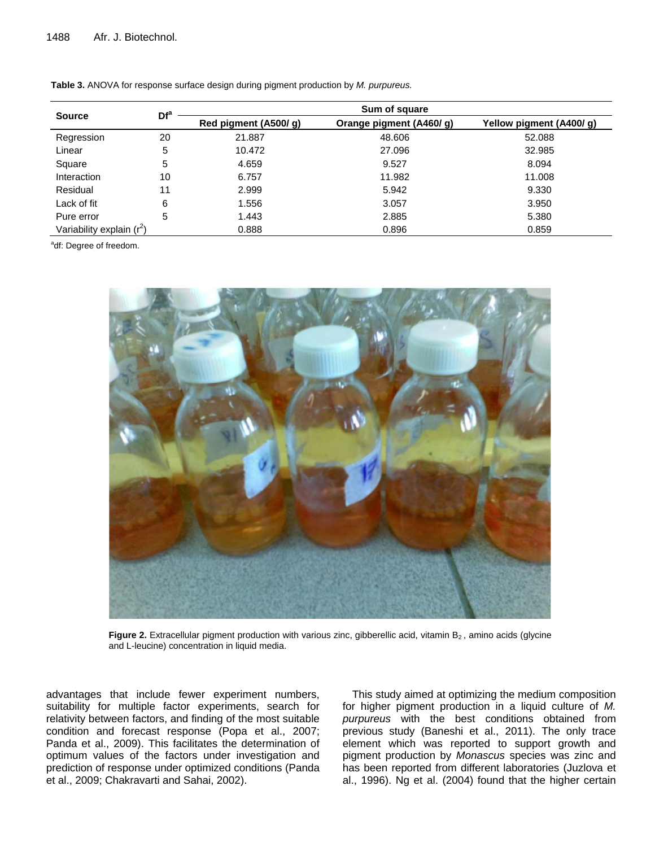| <b>Source</b>               | Df <sup>a</sup> | Sum of square        |                         |                          |  |  |  |
|-----------------------------|-----------------|----------------------|-------------------------|--------------------------|--|--|--|
|                             |                 | Red pigment (A500/g) | Orange pigment (A460/g) | Yellow pigment (A400/ g) |  |  |  |
| Regression                  | 20              | 21.887               | 48.606                  | 52.088                   |  |  |  |
| Linear                      | 5               | 10.472               | 27.096                  | 32.985                   |  |  |  |
| Square                      | 5               | 4.659                | 9.527                   | 8.094                    |  |  |  |
| Interaction                 | 10              | 6.757                | 11.982                  | 11.008                   |  |  |  |
| Residual                    | 11              | 2.999                | 5.942                   | 9.330                    |  |  |  |
| Lack of fit                 | 6               | 1.556                | 3.057                   | 3.950                    |  |  |  |
| Pure error                  | 5               | 1.443                | 2.885                   | 5.380                    |  |  |  |
| Variability explain $(r^2)$ |                 | 0.888                | 0.896                   | 0.859                    |  |  |  |

**Table 3.** ANOVA for response surface design during pigment production by *M. purpureus.* 

<sup>a</sup>df: Degree of freedom.



Figure 2. Extracellular pigment production with various zinc, gibberellic acid, vitamin B<sub>2</sub>, amino acids (glycine and L-leucine) concentration in liquid media.

advantages that include fewer experiment numbers, suitability for multiple factor experiments, search for relativity between factors, and finding of the most suitable condition and forecast response (Popa et al., 2007; Panda et al., 2009). This facilitates the determination of optimum values of the factors under investigation and prediction of response under optimized conditions (Panda et al., 2009; Chakravarti and Sahai, 2002).

This study aimed at optimizing the medium composition for higher pigment production in a liquid culture of *M. purpureus* with the best conditions obtained from previous study (Baneshi et al., 2011). The only trace element which was reported to support growth and pigment production by *Monascus* species was zinc and has been reported from different laboratories (Juzlova et al., 1996). Ng et al. (2004) found that the higher certain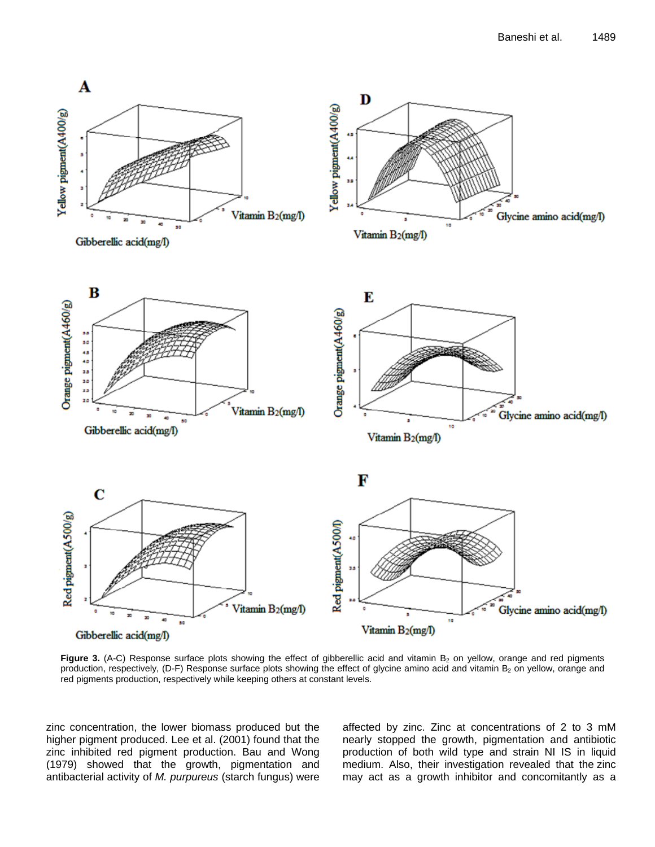

Figure 3. (A-C) Response surface plots showing the effect of gibberellic acid and vitamin B<sub>2</sub> on yellow, orange and red pigments production, respectively, (D-F) Response surface plots showing the effect of glycine amino acid and vitamin B<sub>2</sub> on yellow, orange and red pigments production, respectively while keeping others at constant levels.

zinc concentration, the lower biomass produced but the higher pigment produced. Lee et al. (2001) found that the zinc inhibited red pigment production. Bau and Wong (1979) showed that the growth, pigmentation and antibacterial activity of *M. purpureus* (starch fungus) were

affected by zinc. Zinc at concentrations of 2 to 3 mM nearly stopped the growth, pigmentation and antibiotic production of both wild type and strain NI IS in liquid medium. Also, their investigation revealed that the zinc may act as a growth inhibitor and concomitantly as a